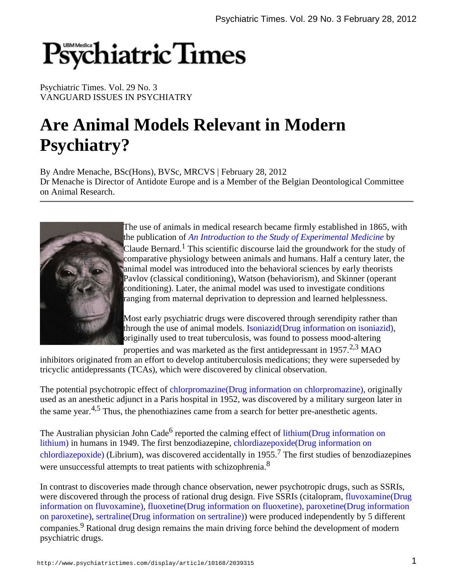# Psychiatric Times

Psychiatric Times. Vol. 29 No. 3 VANGUARD ISSUES IN PSYCHIATRY

# **Are Animal Models Relevant in Modern Psychiatry?**

By Andre Menache, BSc(Hons), BVSc, MRCVS | February 28, 2012 Dr Menache is Director of Antidote Europe and is a Member of the Belgian Deontological Committee on Animal Research.



The use of animals in medical research became firmly established in 1865, with the publication of *An Introduction to the Study of Experimental Medicine* by Claude Bernard.<sup>1</sup> This scientific discourse laid the groundwork for the study of comparative physiology between animals and humans. Half a century later, the animal model was introduced into the behavioral sciences by early theorists Pavlov (classical conditioning), Watson (behaviorism), and Skinner (operant conditioning). Later, the animal model was used to investigate conditions ranging from maternal deprivation to depression and learned helplessness.

Most early psychiatric drugs were discovered through serendipity rather than through the use of animal models. Isoniazid(Drug information on isoniazid), originally used to treat tuberculosis, was found to possess mood-altering

properties and was marketed as the first antidepressant in  $1957<sup>2,3</sup>$  MAO

inhibitors originated from an effort to develop antituberculosis medications; they were superseded by tricyclic antidepressants (TCAs), which were discovered by clinical observation.

The potential psychotropic effect of chlorpromazine(Drug information on chlorpromazine), originally used as an anesthetic adjunct in a Paris hospital in 1952, was discovered by a military surgeon later in the same year. $4.5$  Thus, the phenothiazines came from a search for better pre-anesthetic agents.

The Australian physician John Cade<sup>6</sup> reported the calming effect of lithium(Drug information on lithium) in humans in 1949. The first benzodiazepine, chlordiazepoxide(Drug information on chlordiazepoxide) (Librium), was discovered accidentally in  $1955$ .<sup>7</sup> The first studies of benzodiazepines were unsuccessful attempts to treat patients with schizophrenia.<sup>8</sup>

In contrast to discoveries made through chance observation, newer psychotropic drugs, such as SSRIs, were discovered through the process of rational drug design. Five SSRIs (citalopram, fluvoxamine(Drug information on fluvoxamine), fluoxetine(Drug information on fluoxetine), paroxetine(Drug information on paroxetine), sertraline(Drug information on sertraline)) were produced independently by 5 different companies.<sup>9</sup> Rational drug design remains the main driving force behind the development of modern psychiatric drugs.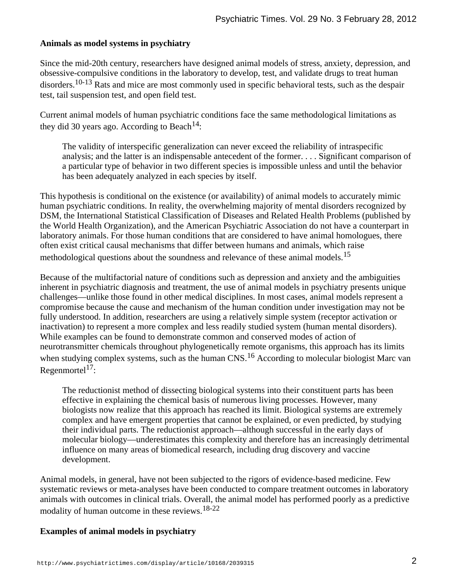#### **Animals as model systems in psychiatry**

Since the mid-20th century, researchers have designed animal models of stress, anxiety, depression, and obsessive-compulsive conditions in the laboratory to develop, test, and validate drugs to treat human disorders.  $10-13$  Rats and mice are most commonly used in specific behavioral tests, such as the despair test, tail suspension test, and open field test.

Current animal models of human psychiatric conditions face the same methodological limitations as they did 30 years ago. According to Beach<sup>14</sup>:

The validity of interspecific generalization can never exceed the reliability of intraspecific analysis; and the latter is an indispensable antecedent of the former. . . . Significant comparison of a particular type of behavior in two different species is impossible unless and until the behavior has been adequately analyzed in each species by itself.

This hypothesis is conditional on the existence (or availability) of animal models to accurately mimic human psychiatric conditions. In reality, the overwhelming majority of mental disorders recognized by DSM, the International Statistical Classification of Diseases and Related Health Problems (published by the World Health Organization), and the American Psychiatric Association do not have a counterpart in laboratory animals. For those human conditions that are considered to have animal homologues, there often exist critical causal mechanisms that differ between humans and animals, which raise methodological questions about the soundness and relevance of these animal models.<sup>15</sup>

Because of the multifactorial nature of conditions such as depression and anxiety and the ambiguities inherent in psychiatric diagnosis and treatment, the use of animal models in psychiatry presents unique challenges—unlike those found in other medical disciplines. In most cases, animal models represent a compromise because the cause and mechanism of the human condition under investigation may not be fully understood. In addition, researchers are using a relatively simple system (receptor activation or inactivation) to represent a more complex and less readily studied system (human mental disorders). While examples can be found to demonstrate common and conserved modes of action of neurotransmitter chemicals throughout phylogenetically remote organisms, this approach has its limits when studying complex systems, such as the human  $CNS$ .<sup>16</sup> According to molecular biologist Marc van  $Regenmortel<sup>17</sup>$ :

The reductionist method of dissecting biological systems into their constituent parts has been effective in explaining the chemical basis of numerous living processes. However, many biologists now realize that this approach has reached its limit. Biological systems are extremely complex and have emergent properties that cannot be explained, or even predicted, by studying their individual parts. The reductionist approach—although successful in the early days of molecular biology—underestimates this complexity and therefore has an increasingly detrimental influence on many areas of biomedical research, including drug discovery and vaccine development.

Animal models, in general, have not been subjected to the rigors of evidence-based medicine. Few systematic reviews or meta-analyses have been conducted to compare treatment outcomes in laboratory animals with outcomes in clinical trials. Overall, the animal model has performed poorly as a predictive modality of human outcome in these reviews.18-22

#### **Examples of animal models in psychiatry**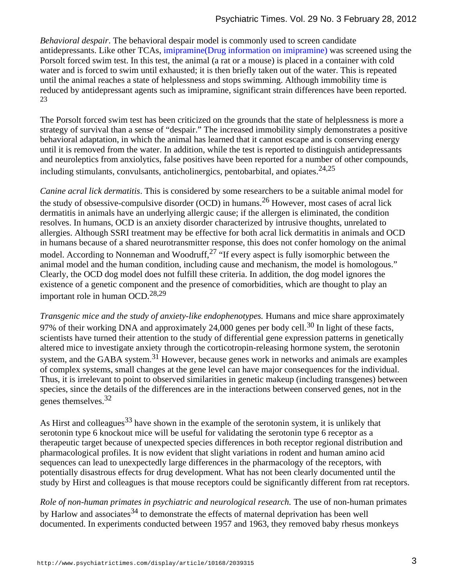*Behavioral despair*. The behavioral despair model is commonly used to screen candidate antidepressants. Like other TCAs, imipramine(Drug information on imipramine) was screened using the Porsolt forced swim test. In this test, the animal (a rat or a mouse) is placed in a container with cold water and is forced to swim until exhausted; it is then briefly taken out of the water. This is repeated until the animal reaches a state of helplessness and stops swimming. Although immobility time is reduced by antidepressant agents such as imipramine, significant strain differences have been reported. 23

The Porsolt forced swim test has been criticized on the grounds that the state of helplessness is more a strategy of survival than a sense of "despair." The increased immobility simply demonstrates a positive behavioral adaptation, in which the animal has learned that it cannot escape and is conserving energy until it is removed from the water. In addition, while the test is reported to distinguish antidepressants and neuroleptics from anxiolytics, false positives have been reported for a number of other compounds, including stimulants, convulsants, anticholinergics, pentobarbital, and opiates. $24,25$ 

*Canine acral lick dermatitis*. This is considered by some researchers to be a suitable animal model for the study of obsessive-compulsive disorder (OCD) in humans.<sup>26</sup> However, most cases of acral lick dermatitis in animals have an underlying allergic cause; if the allergen is eliminated, the condition resolves. In humans, OCD is an anxiety disorder characterized by intrusive thoughts, unrelated to allergies. Although SSRI treatment may be effective for both acral lick dermatitis in animals and OCD in humans because of a shared neurotransmitter response, this does not confer homology on the animal model. According to Nonneman and Woodruff,  $27$  "If every aspect is fully isomorphic between the animal model and the human condition, including cause and mechanism, the model is homologous." Clearly, the OCD dog model does not fulfill these criteria. In addition, the dog model ignores the existence of a genetic component and the presence of comorbidities, which are thought to play an important role in human OCD.28,29

*Transgenic mice and the study of anxiety-like endophenotypes.* Humans and mice share approximately 97% of their working DNA and approximately 24,000 genes per body cell.<sup>30</sup> In light of these facts, scientists have turned their attention to the study of differential gene expression patterns in genetically altered mice to investigate anxiety through the corticotropin-releasing hormone system, the serotonin system, and the GABA system.<sup>31</sup> However, because genes work in networks and animals are examples of complex systems, small changes at the gene level can have major consequences for the individual. Thus, it is irrelevant to point to observed similarities in genetic makeup (including transgenes) between species, since the details of the differences are in the interactions between conserved genes, not in the genes themselves.<sup>32</sup>

As Hirst and colleagues  $33$  have shown in the example of the serotonin system, it is unlikely that serotonin type 6 knockout mice will be useful for validating the serotonin type 6 receptor as a therapeutic target because of unexpected species differences in both receptor regional distribution and pharmacological profiles. It is now evident that slight variations in rodent and human amino acid sequences can lead to unexpectedly large differences in the pharmacology of the receptors, with potentially disastrous effects for drug development. What has not been clearly documented until the study by Hirst and colleagues is that mouse receptors could be significantly different from rat receptors.

*Role of non-human primates in psychiatric and neurological research.* The use of non-human primates by Harlow and associates  $34$  to demonstrate the effects of maternal deprivation has been well documented. In experiments conducted between 1957 and 1963, they removed baby rhesus monkeys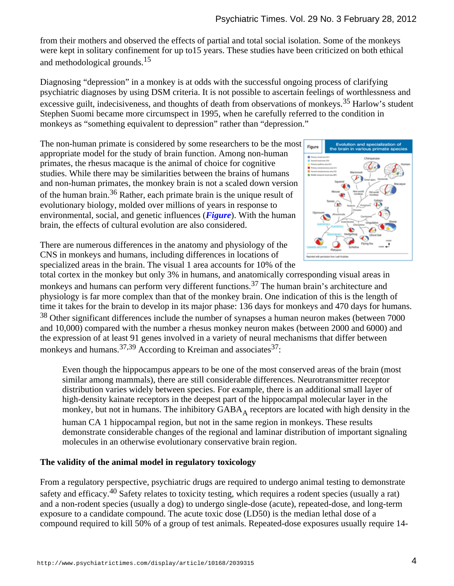from their mothers and observed the effects of partial and total social isolation. Some of the monkeys were kept in solitary confinement for up to15 years. These studies have been criticized on both ethical and methodological grounds.<sup>15</sup>

Diagnosing "depression" in a monkey is at odds with the successful ongoing process of clarifying psychiatric diagnoses by using DSM criteria. It is not possible to ascertain feelings of worthlessness and excessive guilt, indecisiveness, and thoughts of death from observations of monkeys.<sup>35</sup> Harlow's student Stephen Suomi became more circumspect in 1995, when he carefully referred to the condition in monkeys as "something equivalent to depression" rather than "depression."

The non-human primate is considered by some researchers to be the most appropriate model for the study of brain function. Among non-human primates, the rhesus macaque is the animal of choice for cognitive studies. While there may be similarities between the brains of humans and non-human primates, the monkey brain is not a scaled down version of the human brain.<sup>36</sup> Rather, each primate brain is the unique result of evolutionary biology, molded over millions of years in response to environmental, social, and genetic influences (*Figure*). With the human brain, the effects of cultural evolution are also considered.



There are numerous differences in the anatomy and physiology of the CNS in monkeys and humans, including differences in locations of specialized areas in the brain. The visual 1 area accounts for 10% of the

total cortex in the monkey but only 3% in humans, and anatomically corresponding visual areas in monkeys and humans can perform very different functions.<sup>37</sup> The human brain's architecture and physiology is far more complex than that of the monkey brain. One indication of this is the length of time it takes for the brain to develop in its major phase: 136 days for monkeys and 470 days for humans. <sup>38</sup> Other significant differences include the number of synapses a human neuron makes (between 7000 and 10,000) compared with the number a rhesus monkey neuron makes (between 2000 and 6000) and the expression of at least 91 genes involved in a variety of neural mechanisms that differ between monkeys and humans.<sup>37,39</sup> According to Kreiman and associates<sup>37</sup>:

Even though the hippocampus appears to be one of the most conserved areas of the brain (most similar among mammals), there are still considerable differences. Neurotransmitter receptor distribution varies widely between species. For example, there is an additional small layer of high-density kainate receptors in the deepest part of the hippocampal molecular layer in the monkey, but not in humans. The inhibitory  $GABA_A$  receptors are located with high density in the human CA 1 hippocampal region, but not in the same region in monkeys. These results demonstrate considerable changes of the regional and laminar distribution of important signaling molecules in an otherwise evolutionary conservative brain region.

## **The validity of the animal model in regulatory toxicology**

From a regulatory perspective, psychiatric drugs are required to undergo animal testing to demonstrate safety and efficacy. <sup>40</sup> Safety relates to toxicity testing, which requires a rodent species (usually a rat) and a non-rodent species (usually a dog) to undergo single-dose (acute), repeated-dose, and long-term exposure to a candidate compound. The acute toxic dose (LD50) is the median lethal dose of a compound required to kill 50% of a group of test animals. Repeated-dose exposures usually require 14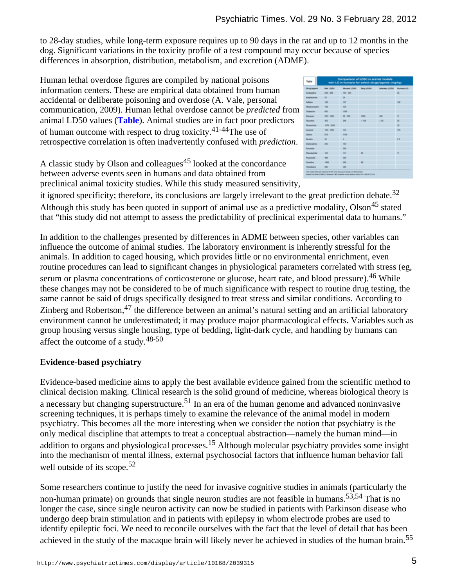to 28-day studies, while long-term exposure requires up to 90 days in the rat and up to 12 months in the dog. Significant variations in the toxicity profile of a test compound may occur because of species differences in absorption, distribution, metabolism, and excretion (ADME).

Human lethal overdose figures are compiled by national poisons information centers. These are empirical data obtained from human accidental or deliberate poisoning and overdose (A. Vale, personal communication, 2009). Human lethal overdose cannot be *predicted* from animal LD50 values (**Table**). Animal studies are in fact poor predictors of human outcome with respect to drug toxicity.  $41-44$ The use of retrospective correlation is often inadvertently confused with *prediction*.

A classic study by Olson and colleagues<sup>45</sup> looked at the concordance between adverse events seen in humans and data obtained from preclinical animal toxicity studies. While this study measured sensitivity,

| <b>Drugiagent</b>      | <b>Plust LONG</b> | Mouse LOSS Dog LDSS |                | Monkey UD50 | <b>Bluman LO</b>         |
|------------------------|-------------------|---------------------|----------------|-------------|--------------------------|
| <b>Anitriptyline</b>   | 341 - 326         | 141 - 358           |                |             | H.                       |
| Anghelanine            | $\mathbf{u}$      | 34                  |                |             |                          |
| Callege                | <b>HE</b>         | KX7                 |                |             | <b>Hall</b>              |
| Odatpromazina          | 147               | <b>TB</b>           |                |             |                          |
| Olakanan               | and               | 10H                 |                |             |                          |
| Distribute             | $362 - 1366$      | $48 - 706$          | 1000           | 400         | $\overline{\phantom{a}}$ |
| <b>Fluranting</b>      | 452               | 348                 | $-200$         | $-58$       | ×                        |
| Floorwaning            | $1470 - 2000$     |                     |                |             | ×                        |
| Interiorist            | <b>ME-1295</b>    | <b>KXI</b>          |                |             | 125                      |
| Lithaum                | 613               | <b>TYME</b>         |                |             |                          |
| Northea                | St.               | š                   |                |             | 6.F                      |
| Orphenadrine           | 201               | <b>VAL</b>          |                |             |                          |
| Parcentine             |                   | w                   |                |             |                          |
| <b>Phone Board And</b> | <b>NO</b>         | YE?                 | ×              |             | 'n                       |
| Programulat            | $+44$             | 221                 |                |             |                          |
| Seriodice              | 1410              | w                   | $\overline{a}$ |             |                          |
| Thirshipton            | <b>SHO</b>        | <b>MS</b>           |                |             |                          |

it ignored specificity; therefore, its conclusions are largely irrelevant to the great prediction debate.<sup>32</sup> Although this study has been quoted in support of animal use as a predictive modality, Olson<sup>45</sup> stated that "this study did not attempt to assess the predictability of preclinical experimental data to humans."

In addition to the challenges presented by differences in ADME between species, other variables can influence the outcome of animal studies. The laboratory environment is inherently stressful for the animals. In addition to caged housing, which provides little or no environmental enrichment, even routine procedures can lead to significant changes in physiological parameters correlated with stress (eg, serum or plasma concentrations of corticosterone or glucose, heart rate, and blood pressure). <sup>46</sup> While these changes may not be considered to be of much significance with respect to routine drug testing, the same cannot be said of drugs specifically designed to treat stress and similar conditions. According to Zinberg and Robertson.<sup>47</sup> the difference between an animal's natural setting and an artificial laboratory environment cannot be underestimated; it may produce major pharmacological effects. Variables such as group housing versus single housing, type of bedding, light-dark cycle, and handling by humans can affect the outcome of a study.  $48-50$ 

# **Evidence-based psychiatry**

Evidence-based medicine aims to apply the best available evidence gained from the scientific method to clinical decision making. Clinical research is the solid ground of medicine, whereas biological theory is a necessary but changing superstructure.<sup>51</sup> In an era of the human genome and advanced noninvasive screening techniques, it is perhaps timely to examine the relevance of the animal model in modern psychiatry. This becomes all the more interesting when we consider the notion that psychiatry is the only medical discipline that attempts to treat a conceptual abstraction—namely the human mind—in addition to organs and physiological processes.<sup>15</sup> Although molecular psychiatry provides some insight into the mechanism of mental illness, external psychosocial factors that influence human behavior fall well outside of its scope.<sup>52</sup>

Some researchers continue to justify the need for invasive cognitive studies in animals (particularly the non-human primate) on grounds that single neuron studies are not feasible in humans.  $53,54$  That is no longer the case, since single neuron activity can now be studied in patients with Parkinson disease who undergo deep brain stimulation and in patients with epilepsy in whom electrode probes are used to identify epileptic foci. We need to reconcile ourselves with the fact that the level of detail that has been achieved in the study of the macaque brain will likely never be achieved in studies of the human brain.<sup>55</sup>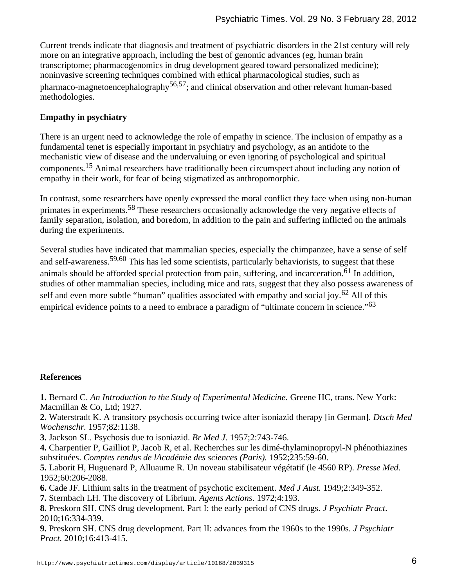Current trends indicate that diagnosis and treatment of psychiatric disorders in the 21st century will rely more on an integrative approach, including the best of genomic advances (eg, human brain transcriptome; pharmacogenomics in drug development geared toward personalized medicine); noninvasive screening techniques combined with ethical pharmacological studies, such as pharmaco-magnetoencephalography<sup>56,57</sup>; and clinical observation and other relevant human-based methodologies.

### **Empathy in psychiatry**

There is an urgent need to acknowledge the role of empathy in science. The inclusion of empathy as a fundamental tenet is especially important in psychiatry and psychology, as an antidote to the mechanistic view of disease and the undervaluing or even ignoring of psychological and spiritual components. <sup>15</sup> Animal researchers have traditionally been circumspect about including any notion of empathy in their work, for fear of being stigmatized as anthropomorphic.

In contrast, some researchers have openly expressed the moral conflict they face when using non-human primates in experiments.<sup>58</sup> These researchers occasionally acknowledge the very negative effects of family separation, isolation, and boredom, in addition to the pain and suffering inflicted on the animals during the experiments.

Several studies have indicated that mammalian species, especially the chimpanzee, have a sense of self and self-awareness.<sup>59,60</sup> This has led some scientists, particularly behaviorists, to suggest that these animals should be afforded special protection from pain, suffering, and incarceration. <sup>61</sup> In addition, studies of other mammalian species, including mice and rats, suggest that they also possess awareness of self and even more subtle "human" qualities associated with empathy and social joy.  $62$  All of this empirical evidence points to a need to embrace a paradigm of "ultimate concern in science."<sup>63</sup>

#### **References**

**1.** Bernard C. *An Introduction to the Study of Experimental Medicine.* Greene HC, trans. New York: Macmillan & Co, Ltd; 1927.

**2.** Waterstradt K. A transitory psychosis occurring twice after isoniazid therapy [in German]. *Dtsch Med Wochenschr.* 1957;82:1138.

**3.** Jackson SL. Psychosis due to isoniazid. *Br Med J.* 1957;2:743-746.

**4.** Charpentier P, Gailliot P, Jacob R, et al. Recherches sur les dimé-thylaminopropyl-N phénothiazines substituées. *Comptes rendus de lAcadémie des sciences (Paris).* 1952;235:59-60.

**5.** Laborit H, Huguenard P, Alluaume R. Un noveau stabilisateur végétatif (le 4560 RP). *Presse Med.* 1952;60:206-2088.

**6.** Cade JF. Lithium salts in the treatment of psychotic excitement. *Med J Aust.* 1949;2:349-352.

**7.** Sternbach LH. The discovery of Librium. *Agents Actions*. 1972;4:193.

**8.** Preskorn SH. CNS drug development. Part I: the early period of CNS drugs. *J Psychiatr Pract*. 2010;16:334-339.

**9.** Preskorn SH. CNS drug development. Part II: advances from the 1960s to the 1990s. *J Psychiatr Pract.* 2010;16:413-415.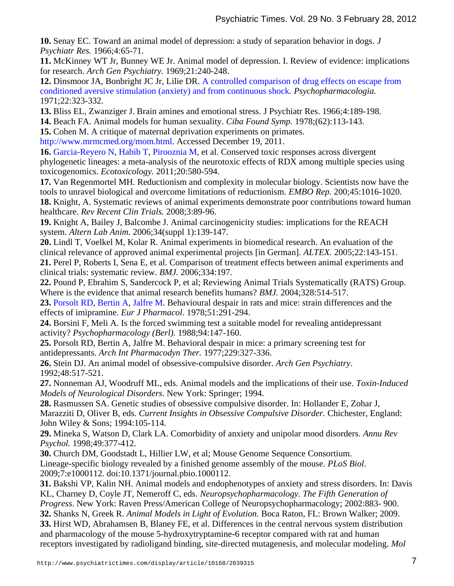**10.** Senay EC. Toward an animal model of depression: a study of separation behavior in dogs. *J Psychiatr Res.* 1966;4:65-71.

**11.** McKinney WT Jr, Bunney WE Jr. Animal model of depression. I. Review of evidence: implications for research. *Arch Gen Psychiatry.* 1969;21:240-248.

**12.** Dinsmoor JA, Bonbright JC Jr, Lilie DR. A controlled comparison of drug effects on escape from conditioned aversive stimulation (anxiety) and from continuous shock. *Psychopharmacologia.* 1971;22:323-332.

**13.** Bliss EL, Zwanziger J. Brain amines and emotional stress. J Psychiatr Res. 1966;4:189-198.

**14.** Beach FA. Animal models for human sexuality. *Ciba Found Symp.* 1978;(62):113-143.

**15.** Cohen M. A critique of maternal deprivation experiments on primates.

http://www.mrmcmed.org/mom.html. Accessed December 19, 2011.

**16.** Garcia-Reyero N, Habib T, Pirooznia M, et al. Conserved toxic responses across divergent phylogenetic lineages: a meta-analysis of the neurotoxic effects of RDX among multiple species using toxicogenomics. *Ecotoxicology.* 2011;20:580-594.

**17.** Van Regenmortel MH. Reductionism and complexity in molecular biology. Scientists now have the tools to unravel biological and overcome limitations of reductionism. *EMBO Rep.* 200;45:1016-1020.

**18.** Knight, A. Systematic reviews of animal experiments demonstrate poor contributions toward human healthcare. *Rev Recent Clin Trials.* 2008;3:89-96.

**19.** Knight A, Bailey J, Balcombe J. Animal carcinogenicity studies: implications for the REACH system. *Altern Lab Anim.* 2006;34(suppl 1):139-147.

**20.** Lindl T, Voelkel M, Kolar R. Animal experiments in biomedical research. An evaluation of the clinical relevance of approved animal experimental projects [in German]*. ALTEX.* 2005;22:143-151. **21.** Perel P, Roberts I, Sena E, et al. Comparison of treatment effects between animal experiments and clinical trials: systematic review. *BMJ.* 2006;334:197.

**22.** Pound P, Ebrahim S, Sandercock P, et al; Reviewing Animal Trials Systematically (RATS) Group. Where is the evidence that animal research benefits humans? *BMJ.* 2004;328:514-517.

**23.** Porsolt RD, Bertin A, Jalfre M. Behavioural despair in rats and mice: strain differences and the effects of imipramine. *Eur J Pharmacol*. 1978;51:291-294.

**24.** Borsini F, Meli A. Is the forced swimming test a suitable model for revealing antidepressant activity? *Psychopharmacology (Berl).* 1988;94:147-160.

**25.** Porsolt RD, Bertin A, Jalfre M. Behavioral despair in mice: a primary screening test for antidepressants. *Arch Int Pharmacodyn Ther.* 1977;229:327-336.

**26.** Stein DJ. An animal model of obsessive-compulsive disorder. *Arch Gen Psychiatry*. 1992;48:517-521.

**27.** Nonneman AJ, Woodruff ML, eds. Animal models and the implications of their use. *Toxin-Induced Models of Neurological Disorders*. New York: Springer; 1994.

**28.** Rasmussen SA. Genetic studies of obsessive compulsive disorder. In: Hollander E, Zohar J, Marazziti D, Oliver B, eds. *Current Insights in Obsessive Compulsive Disorder.* Chichester, England: John Wiley & Sons; 1994:105-114.

**29.** Mineka S, Watson D, Clark LA. Comorbidity of anxiety and unipolar mood disorders. *Annu Rev Psychol.* 1998;49:377-412.

**30.** Church DM, Goodstadt L, Hillier LW, et al; Mouse Genome Sequence Consortium. Lineage-specific biology revealed by a finished genome assembly of the mouse. *PLoS Biol*. 2009;7:e1000112. doi:10.1371/journal.pbio.1000112.

**31.** Bakshi VP, Kalin NH. Animal models and endophenotypes of anxiety and stress disorders. In: Davis KL, Charney D, Coyle JT, Nemeroff C, eds. *Neuropsychopharmacology. The Fifth Generation of Progress*. New York: Raven Press/American College of Neuropsychopharmacology; 2002:883- 900.

**32.** Shanks N, Greek R. *Animal Models in Light of Evolution.* Boca Raton, FL: Brown Walker; 2009.

**33.** Hirst WD, Abrahamsen B, Blaney FE, et al. Differences in the central nervous system distribution and pharmacology of the mouse 5-hydroxytryptamine-6 receptor compared with rat and human receptors investigated by radioligand binding, site-directed mutagenesis, and molecular modeling. *Mol*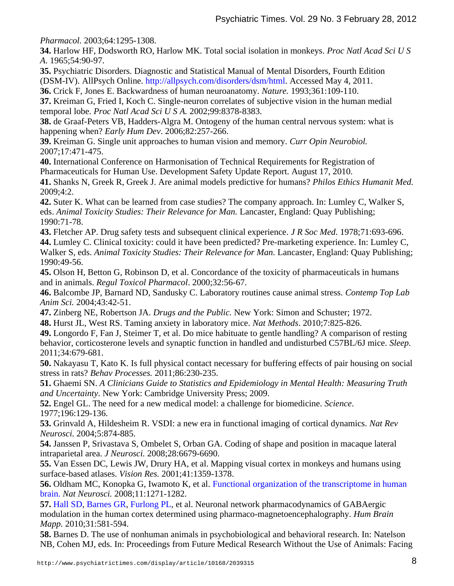*Pharmacol.* 2003;64:1295-1308.

**34.** Harlow HF, Dodsworth RO, Harlow MK. Total social isolation in monkeys. *Proc Natl Acad Sci U S A*. 1965;54:90-97.

**35.** Psychiatric Disorders. Diagnostic and Statistical Manual of Mental Disorders, Fourth Edition (DSM-IV). AllPsych Online. http://allpsych.com/disorders/dsm/html. Accessed May 4, 2011.

**36.** Crick F, Jones E. Backwardness of human neuroanatomy. *Nature.* 1993;361:109-110.

**37.** Kreiman G, Fried I, Koch C. Single-neuron correlates of subjective vision in the human medial temporal lobe. *Proc Natl Acad Sci U S A.* 2002;99:8378-8383.

**38.** de Graaf-Peters VB, Hadders-Algra M. Ontogeny of the human central nervous system: what is happening when? *Early Hum Dev*. 2006;82:257-266.

**39.** Kreiman G. Single unit approaches to human vision and memory. *Curr Opin Neurobiol.* 2007;17:471-475.

**40.** International Conference on Harmonisation of Technical Requirements for Registration of Pharmaceuticals for Human Use. Development Safety Update Report. August 17, 2010.

**41.** Shanks N, Greek R, Greek J. Are animal models predictive for humans? *Philos Ethics Humanit Med.* 2009;4:2.

**42.** Suter K. What can be learned from case studies? The company approach. In: Lumley C, Walker S, eds. *Animal Toxicity Studies: Their Relevance for Man.* Lancaster, England: Quay Publishing; 1990:71-78.

**43.** Fletcher AP. Drug safety tests and subsequent clinical experience. *J R Soc Med*. 1978;71:693-696. **44.** Lumley C. Clinical toxicity: could it have been predicted? Pre-marketing experience. In: Lumley C, Walker S, eds. *Animal Toxicity Studies: Their Relevance for Man.* Lancaster, England: Quay Publishing; 1990:49-56.

**45.** Olson H, Betton G, Robinson D, et al. Concordance of the toxicity of pharmaceuticals in humans and in animals. *Regul Toxicol Pharmacol*. 2000;32:56-67.

**46.** Balcombe JP, Barnard ND, Sandusky C. Laboratory routines cause animal stress. *Contemp Top Lab Anim Sci.* 2004;43:42-51.

**47.** Zinberg NE, Robertson JA. *Drugs and the Public.* New York: Simon and Schuster; 1972.

**48.** Hurst JL, West RS. Taming anxiety in laboratory mice. *Nat Methods*. 2010;7:825-826.

**49.** Longordo F, Fan J, Steimer T, et al. Do mice habituate to gentle handling? A comparison of resting behavior, corticosterone levels and synaptic function in handled and undisturbed C57BL/6J mice. *Sleep.* 2011;34:679-681.

**50.** Nakayasu T, Kato K. Is full physical contact necessary for buffering effects of pair housing on social stress in rats? *Behav Processes.* 2011;86:230-235.

**51.** Ghaemi SN. *A Clinicians Guide to Statistics and Epidemiology in Mental Health: Measuring Truth and Uncertainty*. New York: Cambridge University Press; 2009.

**52.** Engel GL. The need for a new medical model: a challenge for biomedicine. *Science*. 1977;196:129-136.

**53.** Grinvald A, Hildesheim R. VSDI: a new era in functional imaging of cortical dynamics. *Nat Rev Neurosci.* 2004;5:874-885.

**54.** Janssen P, Srivastava S, Ombelet S, Orban GA. Coding of shape and position in macaque lateral intraparietal area. *J Neurosci.* 2008;28:6679-6690.

**55.** Van Essen DC, Lewis JW, Drury HA, et al. Mapping visual cortex in monkeys and humans using surface-based atlases. *Vision Res.* 2001;41:1359-1378.

**56.** Oldham MC, Konopka G, Iwamoto K, et al. Functional organization of the transcriptome in human brain. *Nat Neurosci.* 2008;11:1271-1282.

**57.** Hall SD, Barnes GR, Furlong PL, et al. Neuronal network pharmacodynamics of GABAergic modulation in the human cortex determined using pharmaco-magnetoencephalography. *Hum Brain Mapp.* 2010;31:581-594.

**58.** Barnes D. The use of nonhuman animals in psychobiological and behavioral research. In: Natelson NB, Cohen MJ, eds. In: Proceedings from Future Medical Research Without the Use of Animals: Facing